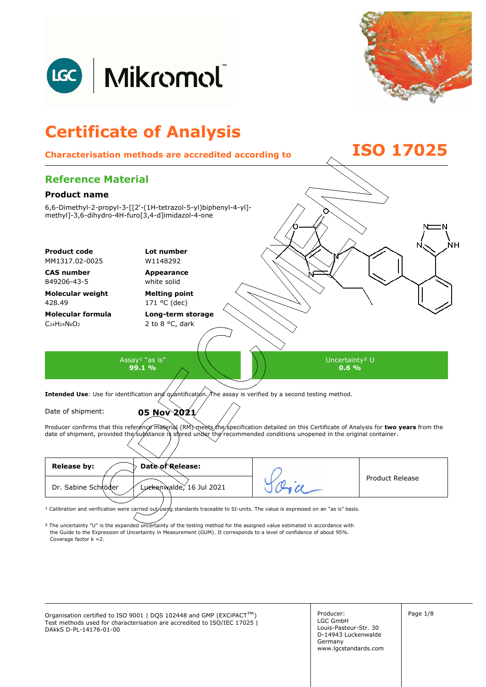



## **Certificate of Analysis Characterisation methods are accredited according to ISO 17025 Reference Material Product name Product code Lot number** MM1317.02-0025 W1148292 **Appearance Melting point**  171 °C (dec) **Long-term storage CAS number Molecular weight Molecular formula**   $C_{24}H_{24}N_6O_2$ 6,6-Dimethyl-2-propyl-3-[[2'-(1H-tetrazol-5-yl)biphenyl-4-yl] methyl]-3,6-dihydro-4H-furo[3,4-d]imidazol-4-one white solid 2 to 8 °C, dark 849206-43-5 428.49 Assay<sup>1</sup> "as is" **99.1 %**  Uncertainty² U **0.6 %**  Intended Use: Use for identification and quantification. The assay is verified by a second testing method. Date of shipment: **05 Nov 2021** Producer confirms that this reference material (RM) meets the specification detailed on this Certificate of Analysis for two years from the date of shipment, provided the substance is stored under the recommended conditions unopened in the original container. **Release by:**  Dr. Sabine Schröder **Date of Release:**  Luckenwalde, 16 Jul 2021 Product Release <sup>1</sup> Calibration and verification were carried out using standards traceable to SI-units. The value is expressed on an "as is" basis.

² The uncertainty "U" is the expanded uncertainty of the testing method for the assigned value estimated in accordance with Coverage factor k =2. the Guide to the Expression of Uncertainty in Measurement (GUM). It corresponds to a level of confidence of about 95%.

Organisation certified to ISO 9001 | DQS 102448 and GMP (EXCiPACT<sup>™</sup>) Producer: Page 1/8 Test methods used for characterisation are accredited to ISO/IEC 17025 | DAkkS D-PL-14176-01-00

Producer: LGC GmbH Louis-Pasteur-Str. 30 D-14943 Luckenwalde Germany www.lgcstandards.com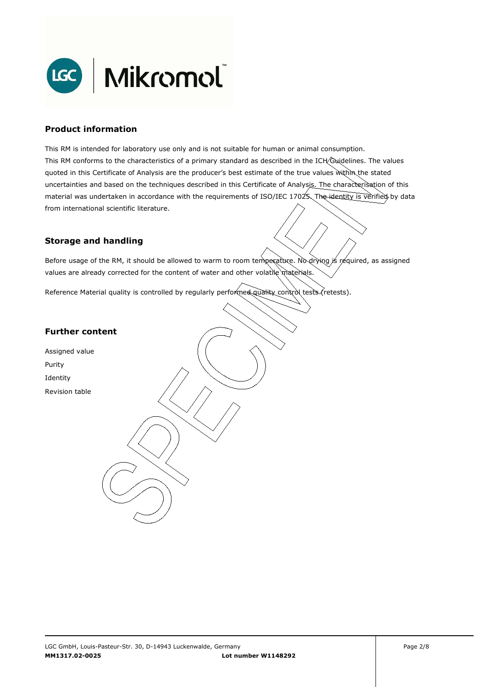

### **Product information**

This RM is intended for laboratory use only and is not suitable for human or animal consumption. This RM conforms to the characteristics of a primary standard as described in the ICH Guidelines. The values quoted in this Certificate of Analysis are the producer's best estimate of the true values within the stated uncertainties and based on the techniques described in this Certificate of Analysis. The characterisation of this material was undertaken in accordance with the requirements of ISO/IEC 17025. The identity is verified by data from international scientific literature.

## **Storage and handling**

Before usage of the RM, it should be allowed to warm to room temperature. No drying is required, as assigned values are already corrected for the content of water and other volatile materials.

Reference Material quality is controlled by regularly performed quality control tests (retests).

## **Further content**

Assigned value Purity Identity Revision table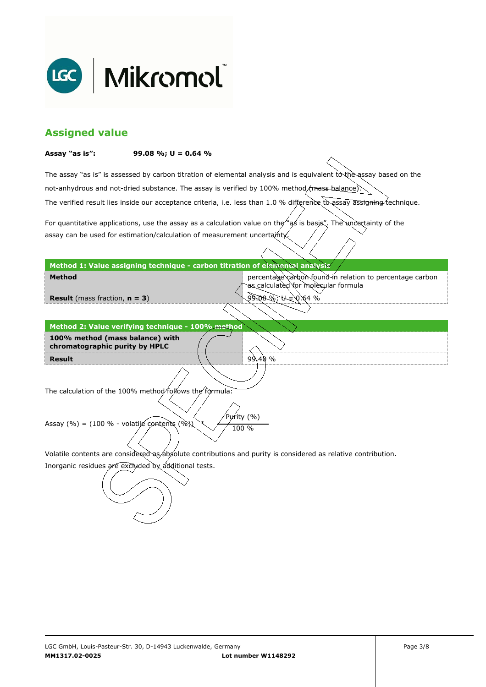

## **Assigned value**

#### **Assay "as is": 99.08 %; U = 0.64 %**

The assay "as is" is assessed by carbon titration of elemental analysis and is equivalent to the assay based on the The verified result lies inside our acceptance criteria, i.e. less than 1.0 % difference to assay assigning technique. not-anhydrous and not-dried substance. The assay is verified by 100% method/mass-balance)

For quantitative applications, use the assay as a calculation value on the  $\gamma$  as is basis". The uncertainty of the assay can be used for estimation/calculation of measurement uncertainty.

#### **Method 1: Value assigning technique - carbon titration of elemental analysis**

percentage carbon found in relation to percentage carbon as calculated for molecular formula

908 %; U = 0.64 %

99.40 %

**Result** (mass fraction, **n = 3**)

**Method** 

**Result Method 2: Value verifying technique - 100% method 100% method (mass balance) with chromatographic purity by HPLC** 

The calculation of the 100% method follows the formula:

Purity (%) Assay (%) = (100 % - volatile contents (%)  $\chi$  / 100 %

Volatile contents are considered as absolute contributions and purity is considered as relative contribution.

Inorganic residues are excluded by additional tests.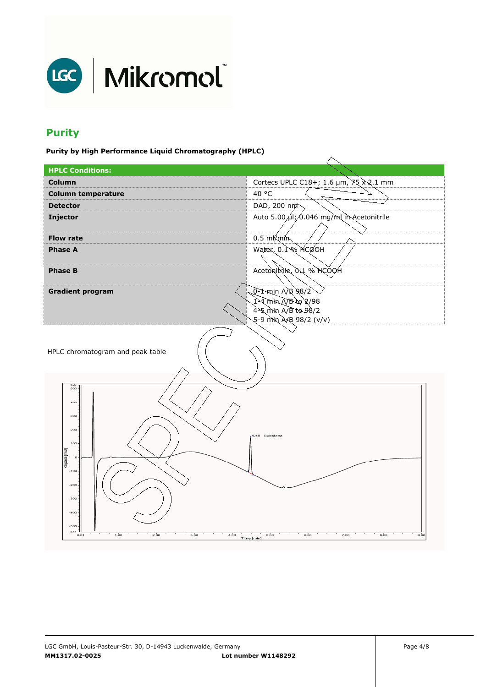

# **Purity**

**Purity by High Performance Liquid Chromatography (HPLC)** 

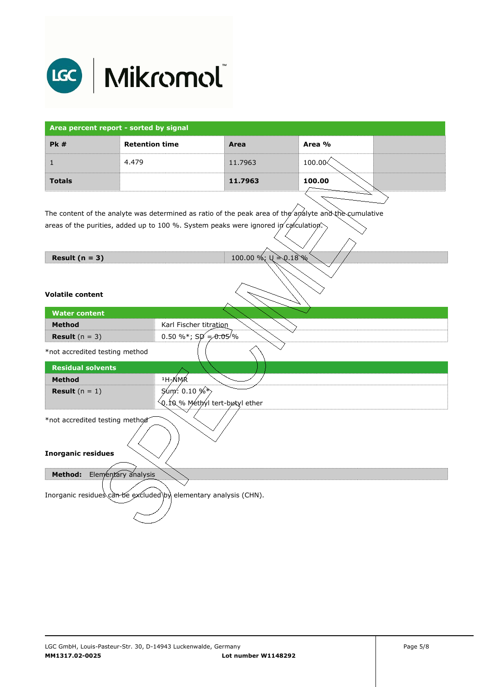

| Area percent report - sorted by signal |                       |         |        |  |  |
|----------------------------------------|-----------------------|---------|--------|--|--|
| PK#                                    | <b>Retention time</b> | Area    | Area % |  |  |
|                                        | 4.479                 | 11.7963 | 100.00 |  |  |
| <b>Totals</b>                          |                       | 11.7963 | 100.00 |  |  |

The content of the analyte was determined as ratio of the peak area of the analyte and the cumulative areas of the purities, added up to 100 %. System peaks were ignored in calculation.

**Result (n = 3)**  $100.00 \%$ ; U = 0.18 %

#### **Volatile content**

| <b>Water content</b>                                             |                                |  |  |  |
|------------------------------------------------------------------|--------------------------------|--|--|--|
| <b>Method</b>                                                    | Karl Fischer titration         |  |  |  |
| <b>Result</b> $(n = 3)$                                          | 0.50 %*; $Sp = 0.05\%$         |  |  |  |
| *not accredited testing method                                   |                                |  |  |  |
| <b>Residual solvents</b>                                         |                                |  |  |  |
| <b>Method</b>                                                    | <sup>1</sup> H-NMR             |  |  |  |
| <b>Result</b> $(n = 1)$                                          | $\sin x: 0.10 \%$              |  |  |  |
|                                                                  | Q.10 % Méthyl tert-butyl ether |  |  |  |
| *not accredited testing method                                   |                                |  |  |  |
| <b>Inorganic residues</b>                                        |                                |  |  |  |
| <b>Method:</b><br>Elementary analysis                            |                                |  |  |  |
| Inorganic residues can be excluded by elementary analysis (CHN). |                                |  |  |  |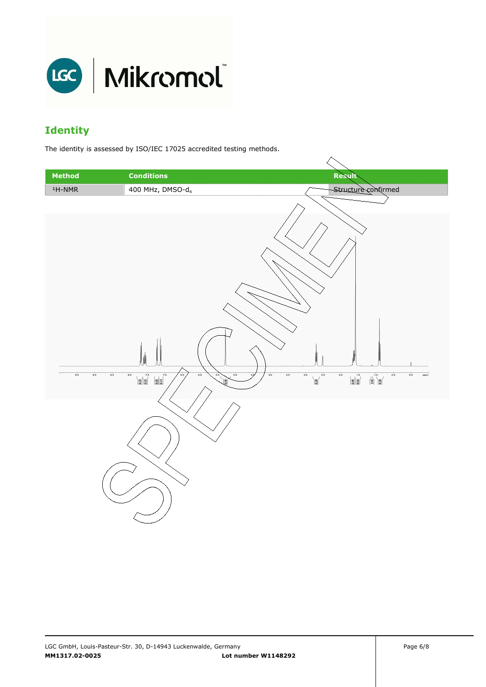

# **Identity**

The identity is assessed by ISO/IEC 17025 accredited testing methods.

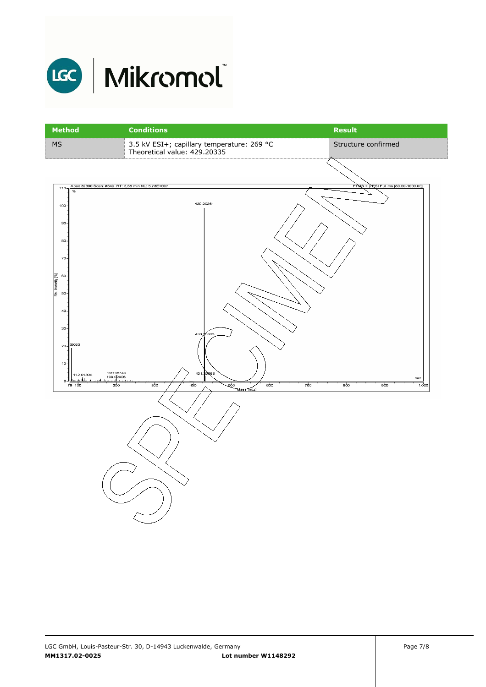

| <b>Method</b>                                                                                                                                                                                                                                                         | <b>Conditions</b>                                                                                                         | <b>Result</b>                                                      |
|-----------------------------------------------------------------------------------------------------------------------------------------------------------------------------------------------------------------------------------------------------------------------|---------------------------------------------------------------------------------------------------------------------------|--------------------------------------------------------------------|
| MS                                                                                                                                                                                                                                                                    | 3.5 kV ESI+; capillary temperature: 269 °C<br>Theoretical value: 429.20335                                                | Structure confirmed                                                |
| Apex 32300 Scan: #349 RT: 3,65 min NL: 5,73E+007<br>$110 -$<br>%<br>$100 -$<br>$90 -$<br>$80 -$<br>$70 -$<br>Rel. Intensity [%]<br>$60 -$<br>$50-$<br>$40 -$<br>$30 -$<br>6093<br>$20 -$<br>$10 -$<br>199,98749<br>112,01806<br>199,02906<br>$\circ$<br>200<br>79 100 | 429,20261<br>430,20603<br>431,20863<br>300<br>$\overline{\mathcal{E}_{\mathcal{O}}^0}$<br>400<br>700<br>600<br>Mass [m/z] | FTMS + p ESI Full ms [80.00-1000.00]<br>m/z<br>800<br>900<br>1.000 |
|                                                                                                                                                                                                                                                                       |                                                                                                                           |                                                                    |